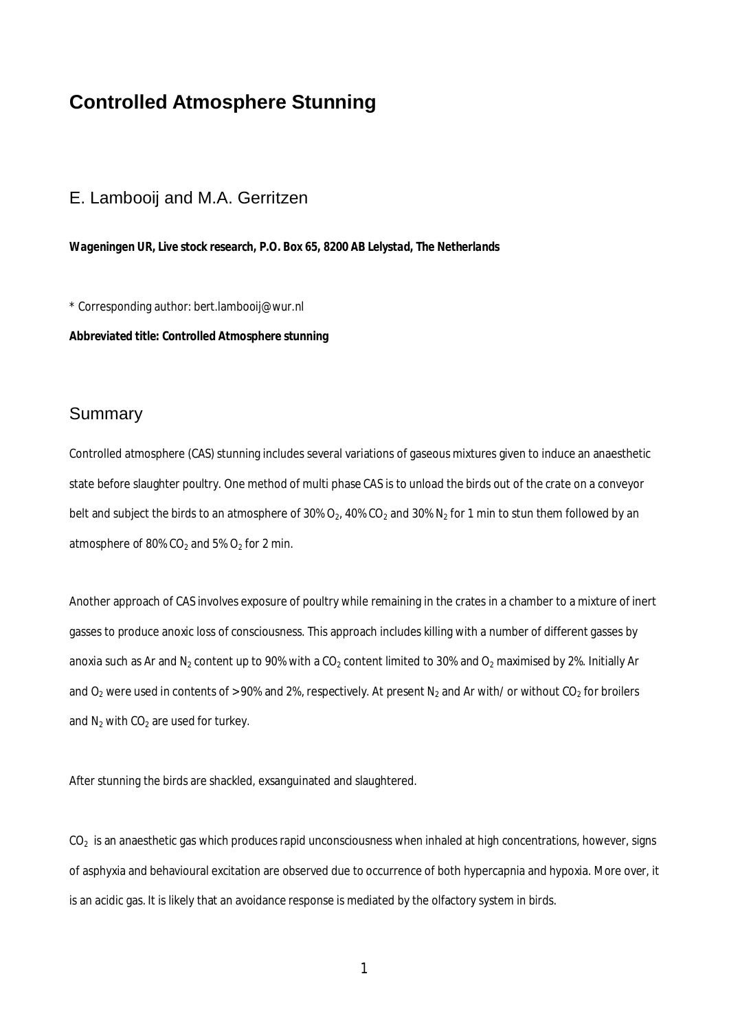# **Controlled Atmosphere Stunning**

### E. Lambooij and M.A. Gerritzen

*Wageningen UR, Live stock research, P.O. Box 65, 8200 AB Lelystad, The Netherlands*

\* Corresponding author: bert.lambooij@wur.nl **Abbreviated title: Controlled Atmosphere stunning**

#### Summary

Controlled atmosphere (CAS) stunning includes several variations of gaseous mixtures given to induce an anaesthetic state before slaughter poultry. One method of multi phase CAS is to unload the birds out of the crate on a conveyor belt and subject the birds to an atmosphere of 30% O<sub>2</sub>, 40% CO<sub>2</sub> and 30% N<sub>2</sub> for 1 min to stun them followed by an atmosphere of 80%  $CO<sub>2</sub>$  and 5%  $O<sub>2</sub>$  for 2 min.

Another approach of CAS involves exposure of poultry while remaining in the crates in a chamber to a mixture of inert gasses to produce anoxic loss of consciousness. This approach includes killing with a number of different gasses by anoxia such as Ar and N<sub>2</sub> content up to 90% with a CO<sub>2</sub> content limited to 30% and O<sub>2</sub> maximised by 2%. Initially Ar and  $O_2$  were used in contents of > 90% and 2%, respectively. At present N<sub>2</sub> and Ar with/ or without CO<sub>2</sub> for broilers and  $N_2$  with  $CO_2$  are used for turkey.

After stunning the birds are shackled, exsanguinated and slaughtered.

 $CO<sub>2</sub>$  is an anaesthetic gas which produces rapid unconsciousness when inhaled at high concentrations, however, signs of asphyxia and behavioural excitation are observed due to occurrence of both hypercapnia and hypoxia. More over, it is an acidic gas. It is likely that an avoidance response is mediated by the olfactory system in birds.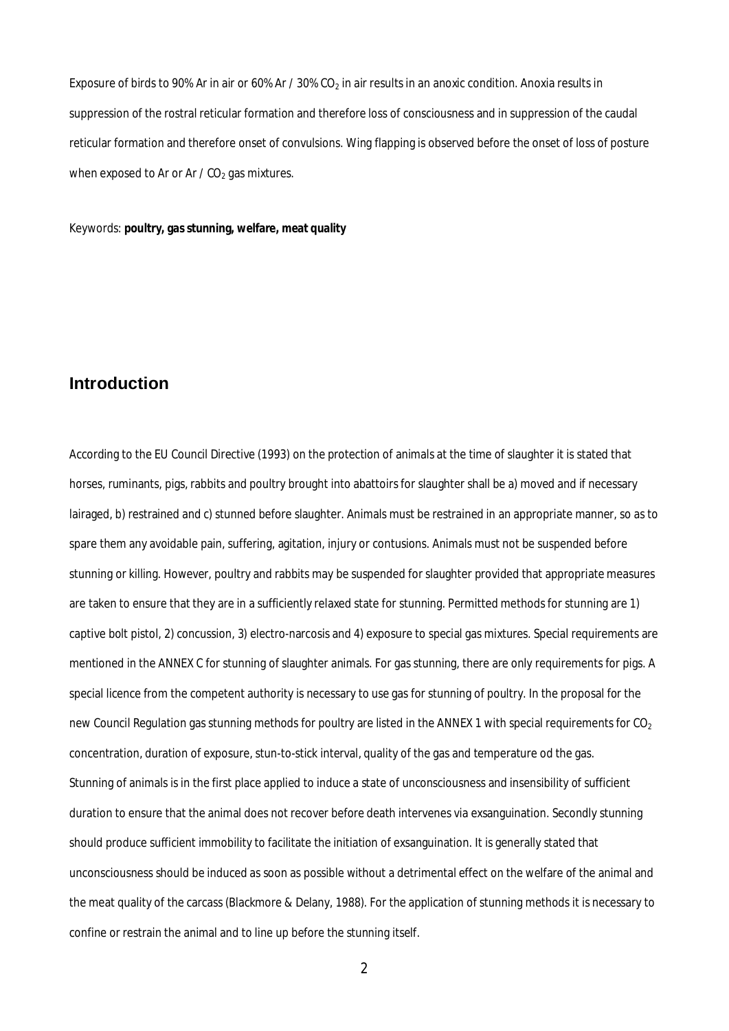Exposure of birds to 90% Ar in air or 60% Ar / 30% CO<sub>2</sub> in air results in an anoxic condition. Anoxia results in suppression of the rostral reticular formation and therefore loss of consciousness and in suppression of the caudal reticular formation and therefore onset of convulsions. Wing flapping is observed before the onset of loss of posture when exposed to Ar or Ar  $/$  CO<sub>2</sub> gas mixtures.

Keywords: **poultry, gas stunning, welfare, meat quality**

### **Introduction**

According to the EU Council Directive (1993) on the protection of animals at the time of slaughter it is stated that horses, ruminants, pigs, rabbits and poultry brought into abattoirs for slaughter shall be a) moved and if necessary lairaged, b) restrained and c) stunned before slaughter. Animals must be restrained in an appropriate manner, so as to spare them any avoidable pain, suffering, agitation, injury or contusions. Animals must not be suspended before stunning or killing. However, poultry and rabbits may be suspended for slaughter provided that appropriate measures are taken to ensure that they are in a sufficiently relaxed state for stunning. Permitted methods for stunning are 1) captive bolt pistol, 2) concussion, 3) electro-narcosis and 4) exposure to special gas mixtures. Special requirements are mentioned in the ANNEX C for stunning of slaughter animals. For gas stunning, there are only requirements for pigs. A special licence from the competent authority is necessary to use gas for stunning of poultry. In the proposal for the new Council Regulation gas stunning methods for poultry are listed in the ANNEX 1 with special requirements for CO<sub>2</sub> concentration, duration of exposure, stun-to-stick interval, quality of the gas and temperature od the gas. Stunning of animals is in the first place applied to induce a state of unconsciousness and insensibility of sufficient duration to ensure that the animal does not recover before death intervenes via exsanguination. Secondly stunning should produce sufficient immobility to facilitate the initiation of exsanguination. It is generally stated that unconsciousness should be induced as soon as possible without a detrimental effect on the welfare of the animal and the meat quality of the carcass (Blackmore & Delany, 1988). For the application of stunning methods it is necessary to confine or restrain the animal and to line up before the stunning itself.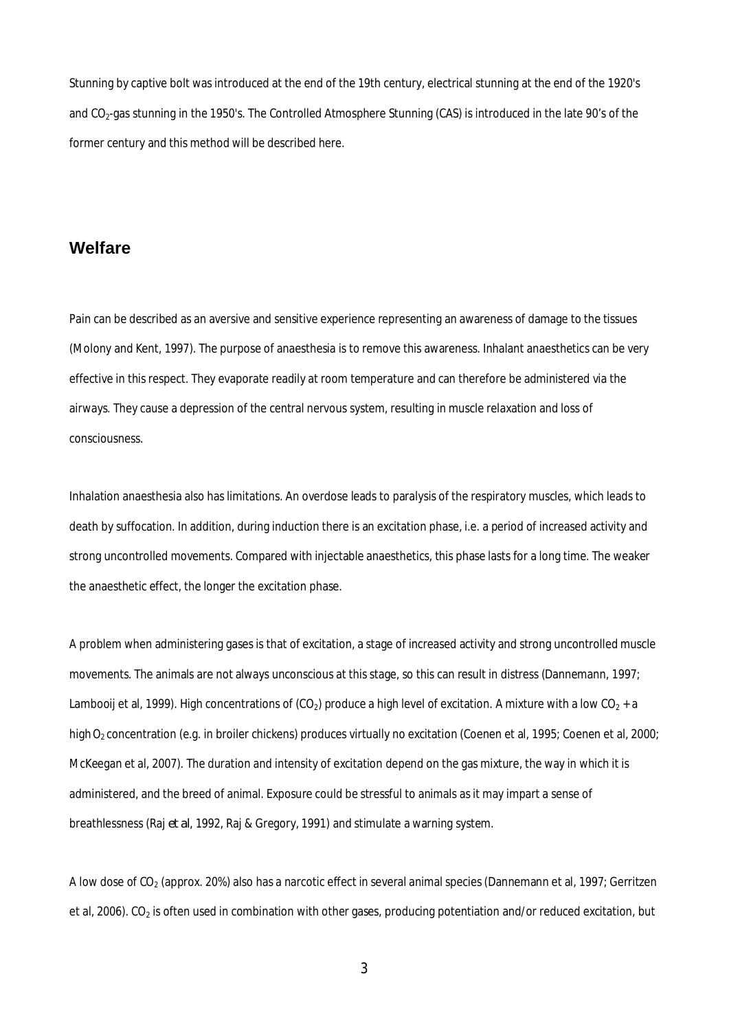Stunning by captive bolt was introduced at the end of the 19th century, electrical stunning at the end of the 1920's and CO<sub>2</sub>-gas stunning in the 1950's. The Controlled Atmosphere Stunning (CAS) is introduced in the late 90's of the former century and this method will be described here.

#### **Welfare**

Pain can be described as an aversive and sensitive experience representing an awareness of damage to the tissues (Molony and Kent, 1997). The purpose of anaesthesia is to remove this awareness. Inhalant anaesthetics can be very effective in this respect. They evaporate readily at room temperature and can therefore be administered via the airways. They cause a depression of the central nervous system, resulting in muscle relaxation and loss of consciousness.

Inhalation anaesthesia also has limitations. An overdose leads to paralysis of the respiratory muscles, which leads to death by suffocation. In addition, during induction there is an excitation phase, i.e. a period of increased activity and strong uncontrolled movements. Compared with injectable anaesthetics, this phase lasts for a long time. The weaker the anaesthetic effect, the longer the excitation phase.

A problem when administering gases is that of excitation, a stage of increased activity and strong uncontrolled muscle movements. The animals are not always unconscious at this stage, so this can result in distress (Dannemann, 1997; Lambooij et al, 1999). High concentrations of (CO<sub>2</sub>) produce a high level of excitation. A mixture with a low CO<sub>2</sub> + a high O<sub>2</sub> concentration (e.g. in broiler chickens) produces virtually no excitation (Coenen et al, 1995; Coenen et al, 2000; McKeegan et al, 2007). The duration and intensity of excitation depend on the gas mixture, the way in which it is administered, and the breed of animal. Exposure could be stressful to animals as it may impart a sense of breathlessness (Raj *et al*, 1992, Raj & Gregory, 1991) and stimulate a warning system.

A low dose of CO2 (approx. 20%) also has a narcotic effect in several animal species (Dannemann et al, 1997; Gerritzen et al, 2006). CO<sub>2</sub> is often used in combination with other gases, producing potentiation and/or reduced excitation, but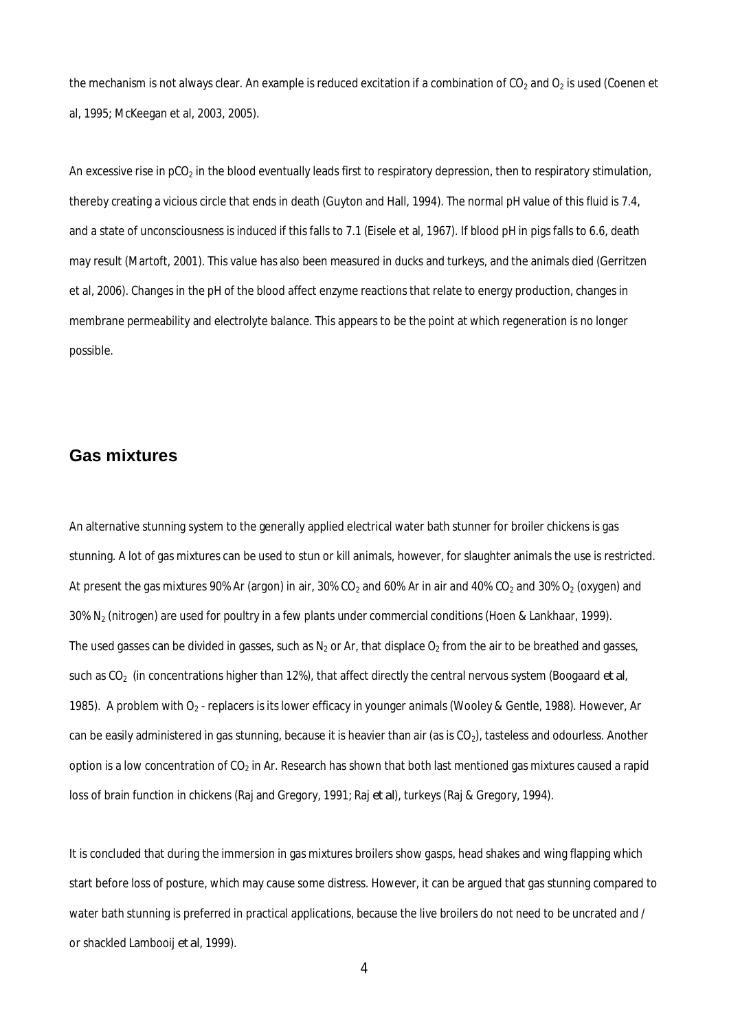the mechanism is not always clear. An example is reduced excitation if a combination of  $CO_2$  and  $O_2$  is used (Coenen et al, 1995; McKeegan et al, 2003, 2005).

An excessive rise in  $p_0$  in the blood eventually leads first to respiratory depression, then to respiratory stimulation, thereby creating a vicious circle that ends in death (Guyton and Hall, 1994). The normal pH value of this fluid is 7.4, and a state of unconsciousness is induced if this falls to 7.1 (Eisele et al, 1967). If blood pH in pigs falls to 6.6, death may result (Martoft, 2001). This value has also been measured in ducks and turkeys, and the animals died (Gerritzen et al, 2006). Changes in the pH of the blood affect enzyme reactions that relate to energy production, changes in membrane permeability and electrolyte balance. This appears to be the point at which regeneration is no longer possible.

#### **Gas mixtures**

An alternative stunning system to the generally applied electrical water bath stunner for broiler chickens is gas stunning. A lot of gas mixtures can be used to stun or kill animals, however, for slaughter animals the use is restricted. At present the gas mixtures 90% Ar (argon) in air, 30% CO<sub>2</sub> and 60% Ar in air and 40% CO<sub>2</sub> and 30% O<sub>2</sub> (oxygen) and 30% N2 (nitrogen) are used for poultry in a few plants under commercial conditions (Hoen & Lankhaar, 1999). The used gasses can be divided in gasses, such as  $N_2$  or Ar, that displace  $O_2$  from the air to be breathed and gasses, such as CO<sub>2</sub> (in concentrations higher than 12%), that affect directly the central nervous system (Boogaard *et al*, 1985). A problem with O<sub>2</sub> - replacers is its lower efficacy in younger animals (Wooley & Gentle, 1988). However, Ar can be easily administered in gas stunning, because it is heavier than air (as is CO<sub>2</sub>), tasteless and odourless. Another option is a low concentration of  $CO<sub>2</sub>$  in Ar. Research has shown that both last mentioned gas mixtures caused a rapid loss of brain function in chickens (Raj and Gregory, 1991; Raj *et al*), turkeys (Raj & Gregory, 1994).

It is concluded that during the immersion in gas mixtures broilers show gasps, head shakes and wing flapping which start before loss of posture, which may cause some distress. However, it can be argued that gas stunning compared to water bath stunning is preferred in practical applications, because the live broilers do not need to be uncrated and / or shackled Lambooij *et al*, 1999).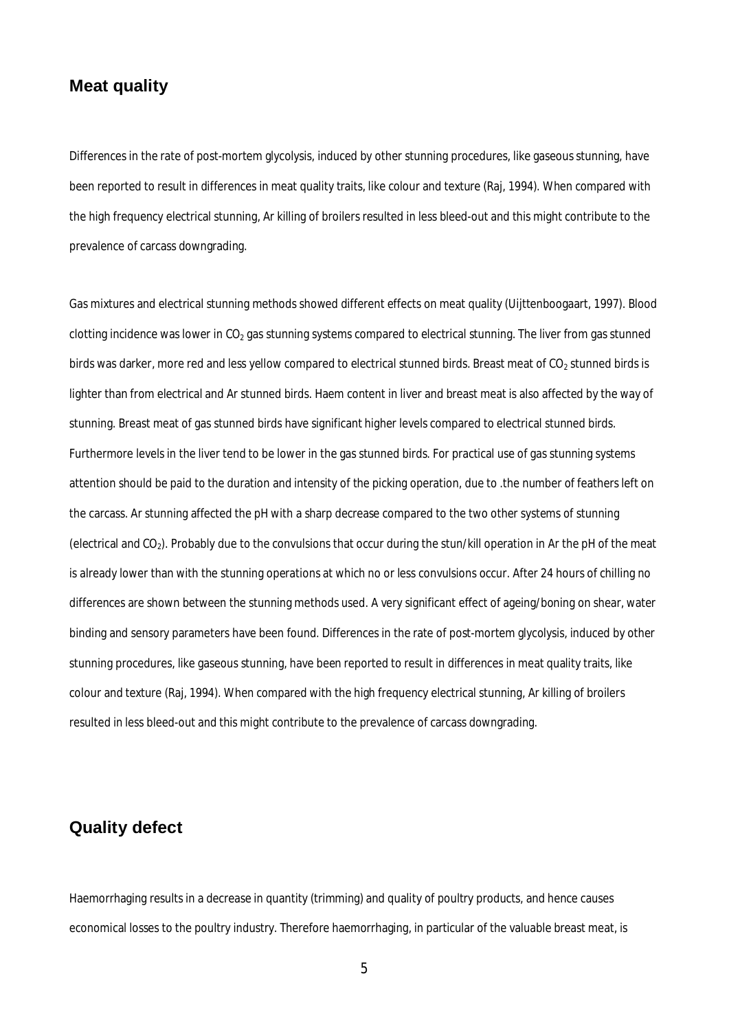## **Meat quality**

Differences in the rate of post-mortem glycolysis, induced by other stunning procedures, like gaseous stunning, have been reported to result in differences in meat quality traits, like colour and texture (Raj, 1994). When compared with the high frequency electrical stunning, Ar killing of broilers resulted in less bleed-out and this might contribute to the prevalence of carcass downgrading.

Gas mixtures and electrical stunning methods showed different effects on meat quality (Uijttenboogaart, 1997). Blood clotting incidence was lower in  $CO<sub>2</sub>$  gas stunning systems compared to electrical stunning. The liver from gas stunned birds was darker, more red and less yellow compared to electrical stunned birds. Breast meat of  $CO<sub>2</sub>$  stunned birds is lighter than from electrical and Ar stunned birds. Haem content in liver and breast meat is also affected by the way of stunning. Breast meat of gas stunned birds have significant higher levels compared to electrical stunned birds. Furthermore levels in the liver tend to be lower in the gas stunned birds. For practical use of gas stunning systems attention should be paid to the duration and intensity of the picking operation, due to .the number of feathers left on the carcass. Ar stunning affected the pH with a sharp decrease compared to the two other systems of stunning (electrical and CO2). Probably due to the convulsions that occur during the stun/kill operation in Ar the pH of the meat is already lower than with the stunning operations at which no or less convulsions occur. After 24 hours of chilling no differences are shown between the stunning methods used. A very significant effect of ageing/boning on shear, water binding and sensory parameters have been found. Differences in the rate of post-mortem glycolysis, induced by other stunning procedures, like gaseous stunning, have been reported to result in differences in meat quality traits, like colour and texture (Raj, 1994). When compared with the high frequency electrical stunning, Ar killing of broilers resulted in less bleed-out and this might contribute to the prevalence of carcass downgrading.

## **Quality defect**

Haemorrhaging results in a decrease in quantity (trimming) and quality of poultry products, and hence causes economical losses to the poultry industry. Therefore haemorrhaging, in particular of the valuable breast meat, is

5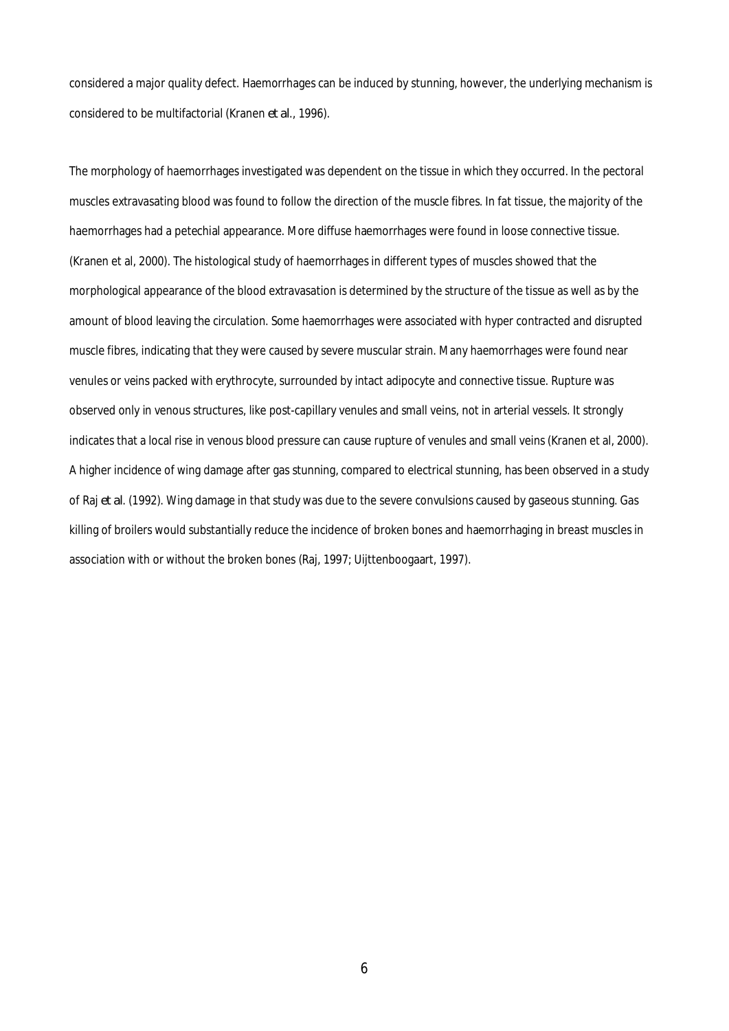considered a major quality defect. Haemorrhages can be induced by stunning, however, the underlying mechanism is considered to be multifactorial (Kranen *et al*., 1996).

The morphology of haemorrhages investigated was dependent on the tissue in which they occurred. In the pectoral muscles extravasating blood was found to follow the direction of the muscle fibres. In fat tissue, the majority of the haemorrhages had a petechial appearance. More diffuse haemorrhages were found in loose connective tissue. (Kranen et al, 2000). The histological study of haemorrhages in different types of muscles showed that the morphological appearance of the blood extravasation is determined by the structure of the tissue as well as by the amount of blood leaving the circulation. Some haemorrhages were associated with hyper contracted and disrupted muscle fibres, indicating that they were caused by severe muscular strain. Many haemorrhages were found near venules or veins packed with erythrocyte, surrounded by intact adipocyte and connective tissue. Rupture was observed only in venous structures, like post-capillary venules and small veins, not in arterial vessels. It strongly indicates that a local rise in venous blood pressure can cause rupture of venules and small veins (Kranen et al, 2000). A higher incidence of wing damage after gas stunning, compared to electrical stunning, has been observed in a study of Raj *et al*. (1992). Wing damage in that study was due to the severe convulsions caused by gaseous stunning. Gas killing of broilers would substantially reduce the incidence of broken bones and haemorrhaging in breast muscles in association with or without the broken bones (Raj, 1997; Uijttenboogaart, 1997).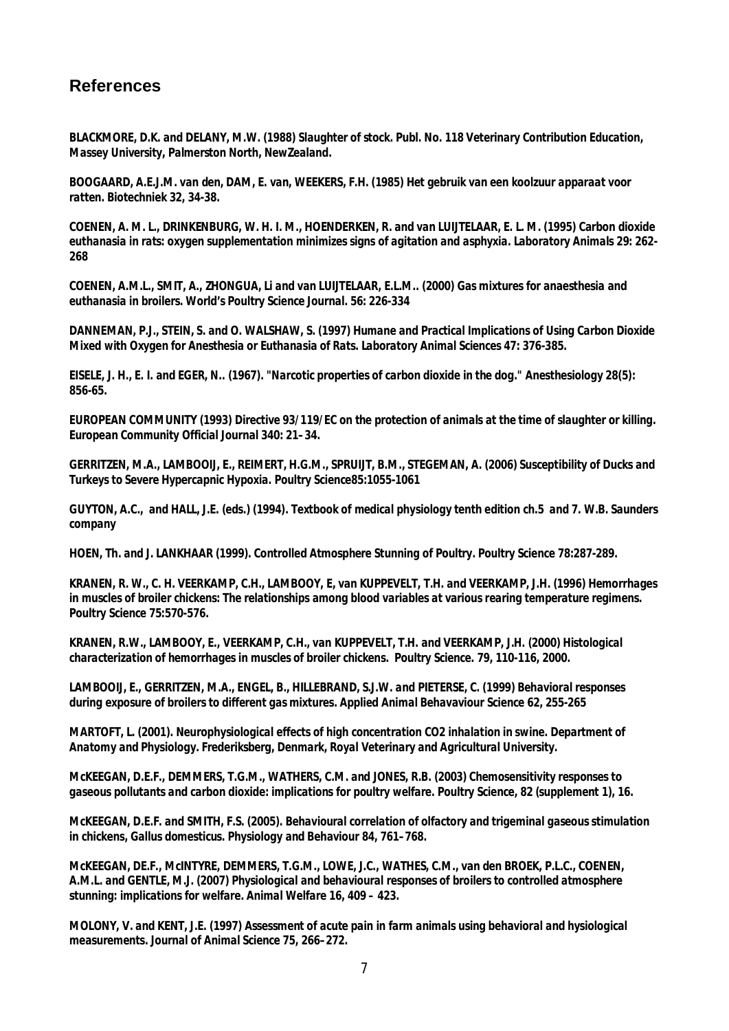## **References**

*BLACKMORE, D.K. and DELANY, M.W. (1988) Slaughter of stock. Publ. No. 118 Veterinary Contribution Education, Massey University, Palmerston North, NewZealand.*

*BOOGAARD, A.E.J.M. van den, DAM, E. van, WEEKERS, F.H. (1985) Het gebruik van een koolzuur apparaat voor ratten. Biotechniek 32, 34-38.*

*COENEN, A. M. L., DRINKENBURG, W. H. I. M., HOENDERKEN, R. and van LUIJTELAAR, E. L. M. (1995) Carbon dioxide euthanasia in rats: oxygen supplementation minimizes signs of agitation and asphyxia. Laboratory Animals 29: 262- 268*

*COENEN, A.M.L., SMIT, A., ZHONGUA, Li and van LUIJTELAAR, E.L.M.. (2000) Gas mixtures for anaesthesia and euthanasia in broilers. World's Poultry Science Journal. 56: 226-334*

*DANNEMAN, P.J., STEIN, S. and O. WALSHAW, S. (1997) Humane and Practical Implications of Using Carbon Dioxide Mixed with Oxygen for Anesthesia or Euthanasia of Rats. Laboratory Animal Sciences 47: 376-385.*

*EISELE, J. H., E. I. and EGER, N.. (1967). "Narcotic properties of carbon dioxide in the dog." Anesthesiology 28(5): 856-65.*

*EUROPEAN COMMUNITY (1993) Directive 93/119/EC on the protection of animals at the time of slaughter or killing. European Community Official Journal 340: 21–34.*

*GERRITZEN, M.A., LAMBOOIJ, E., REIMERT, H.G.M., SPRUIJT, B.M., STEGEMAN, A. (2006) Susceptibility of Ducks and Turkeys to Severe Hypercapnic Hypoxia. Poultry Science85:1055-1061*

*GUYTON, A.C., and HALL, J.E. (eds.) (1994). Textbook of medical physiology tenth edition ch.5 and 7. W.B. Saunders company*

*HOEN, Th. and J. LANKHAAR (1999). Controlled Atmosphere Stunning of Poultry. Poultry Science 78:287-289.*

*KRANEN, R. W., C. H. VEERKAMP, C.H., LAMBOOY, E, van KUPPEVELT, T.H. and VEERKAMP, J.H. (1996) Hemorrhages in muscles of broiler chickens: The relationships among blood variables at various rearing temperature regimens. Poultry Science 75:570-576.*

*KRANEN, R.W., LAMBOOY, E., VEERKAMP, C.H., van KUPPEVELT, T.H. and VEERKAMP, J.H. (2000) Histological characterization of hemorrhages in muscles of broiler chickens. Poultry Science. 79, 110-116, 2000.*

*LAMBOOIJ, E., GERRITZEN, M.A., ENGEL, B., HILLEBRAND, S.J.W. and PIETERSE, C. (1999) Behavioral responses during exposure of broilers to different gas mixtures. Applied Animal Behavaviour Science 62, 255-265*

*MARTOFT, L. (2001). Neurophysiological effects of high concentration CO2 inhalation in swine. Department of Anatomy and Physiology. Frederiksberg, Denmark, Royal Veterinary and Agricultural University.*

*McKEEGAN, D.E.F., DEMMERS, T.G.M., WATHERS, C.M. and JONES, R.B. (2003) Chemosensitivity responses to gaseous pollutants and carbon dioxide: implications for poultry welfare. Poultry Science, 82 (supplement 1), 16.*

*McKEEGAN, D.E.F. and SMITH, F.S. (2005). Behavioural correlation of olfactory and trigeminal gaseous stimulation in chickens, Gallus domesticus. Physiology and Behaviour 84, 761–768.*

*McKEEGAN, DE.F., McINTYRE, DEMMERS, T.G.M., LOWE, J.C., WATHES, C.M., van den BROEK, P.L.C., COENEN, A.M.L. and GENTLE, M.J. (2007) Physiological and behavioural responses of broilers to controlled atmosphere stunning: implications for welfare. Animal Welfare 16, 409 – 423.*

*MOLONY, V. and KENT, J.E. (1997) Assessment of acute pain in farm animals using behavioral and hysiological measurements. Journal of Animal Science 75, 266–272.*